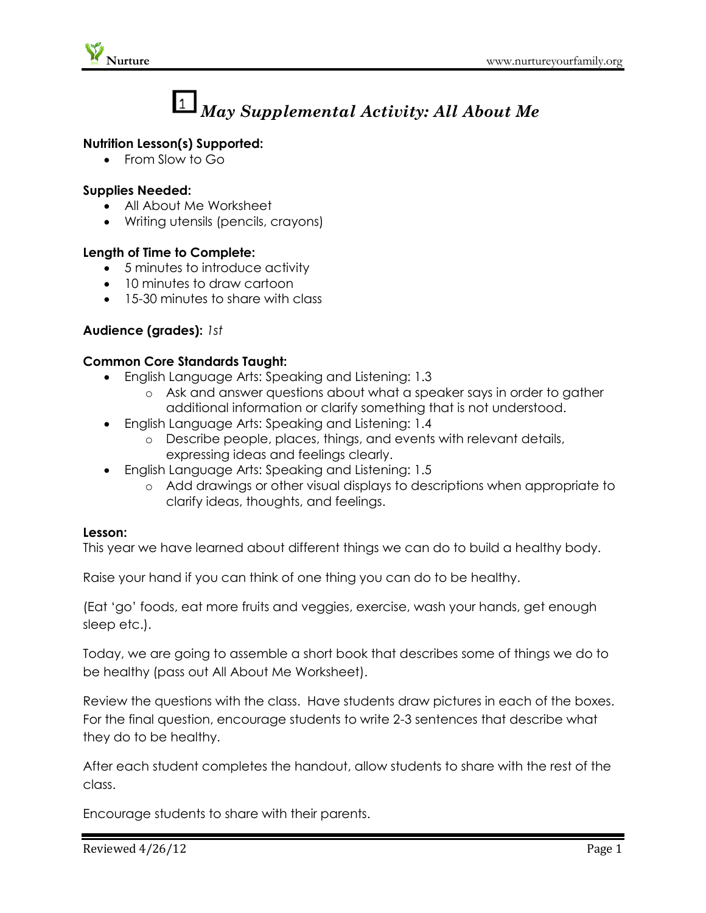

# *May Supplemental Activity: All About Me*

#### **Nutrition Lesson(s) Supported:**

• From Slow to Go

#### **Supplies Needed:**

- All About Me Worksheet
- Writing utensils (pencils, crayons)

#### **Length of Time to Complete:**

- 5 minutes to introduce activity
- 10 minutes to draw cartoon
- 15-30 minutes to share with class

### **Audience (grades):** *1st*

#### **Common Core Standards Taught:**

- English Language Arts: Speaking and Listening: 1.3
	- o Ask and answer questions about what a speaker says in order to gather additional information or clarify something that is not understood.
- English Language Arts: Speaking and Listening: 1.4
	- o Describe people, places, things, and events with relevant details, expressing ideas and feelings clearly.
- English Language Arts: Speaking and Listening: 1.5
	- o Add drawings or other visual displays to descriptions when appropriate to clarify ideas, thoughts, and feelings.

#### **Lesson:**

This year we have learned about different things we can do to build a healthy body.

Raise your hand if you can think of one thing you can do to be healthy.

(Eat 'go' foods, eat more fruits and veggies, exercise, wash your hands, get enough sleep etc.).

Today, we are going to assemble a short book that describes some of things we do to be healthy (pass out All About Me Worksheet).

Review the questions with the class. Have students draw pictures in each of the boxes. For the final question, encourage students to write 2-3 sentences that describe what they do to be healthy.

After each student completes the handout, allow students to share with the rest of the class.

Encourage students to share with their parents.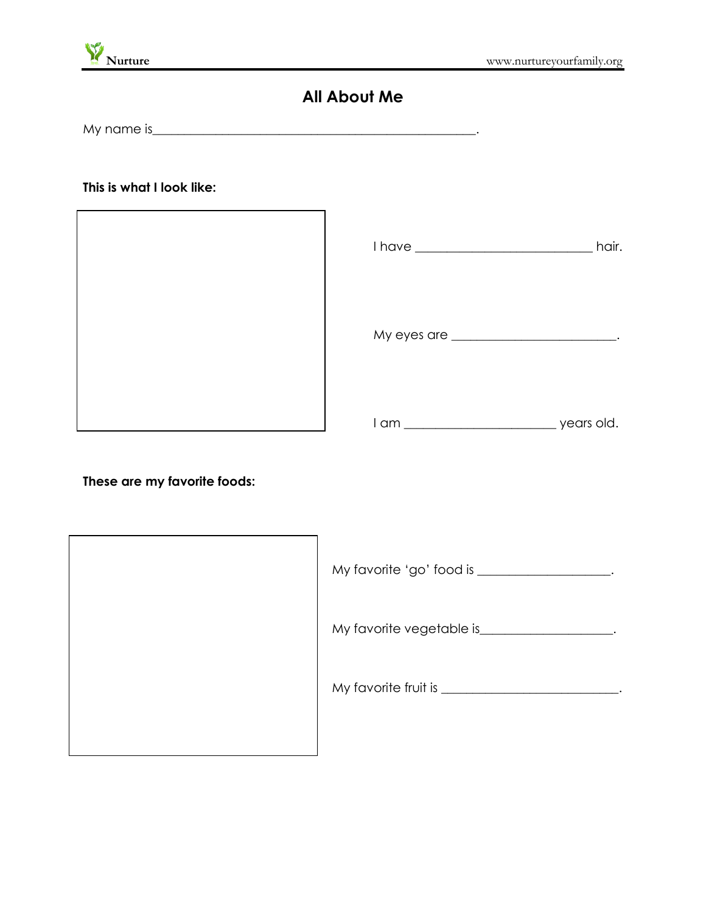

# **All About Me**

My name is\_\_\_\_\_\_\_\_\_\_\_\_\_\_\_\_\_\_\_\_\_\_\_\_\_\_\_\_\_\_\_\_\_\_\_\_\_\_\_\_\_\_\_\_\_\_\_\_\_\_\_.

**This is what I look like:**



|                          | hair.      |
|--------------------------|------------|
|                          |            |
| l am ___________________ | years old. |

**These are my favorite foods:**

| My favorite vegetable is____________ |
|--------------------------------------|
| My favorite fruit is _____           |
|                                      |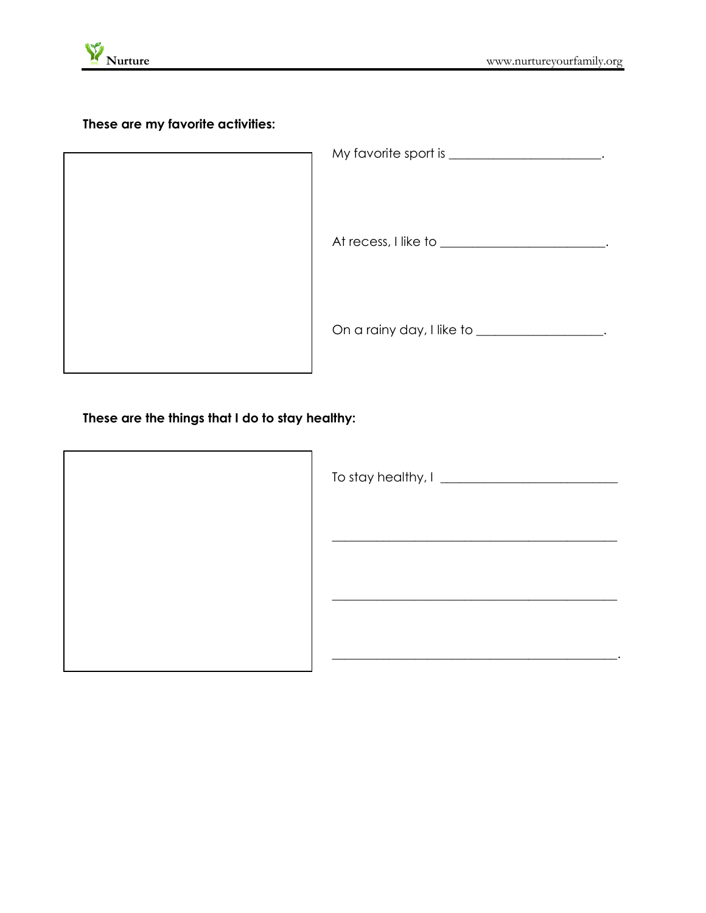

**These are my favorite activities:**

| My favorite sport is ___________ |
|----------------------------------|
| At recess, I like to _______     |
| On a rainy day, I like to ____   |

**These are the things that I do to stay healthy:**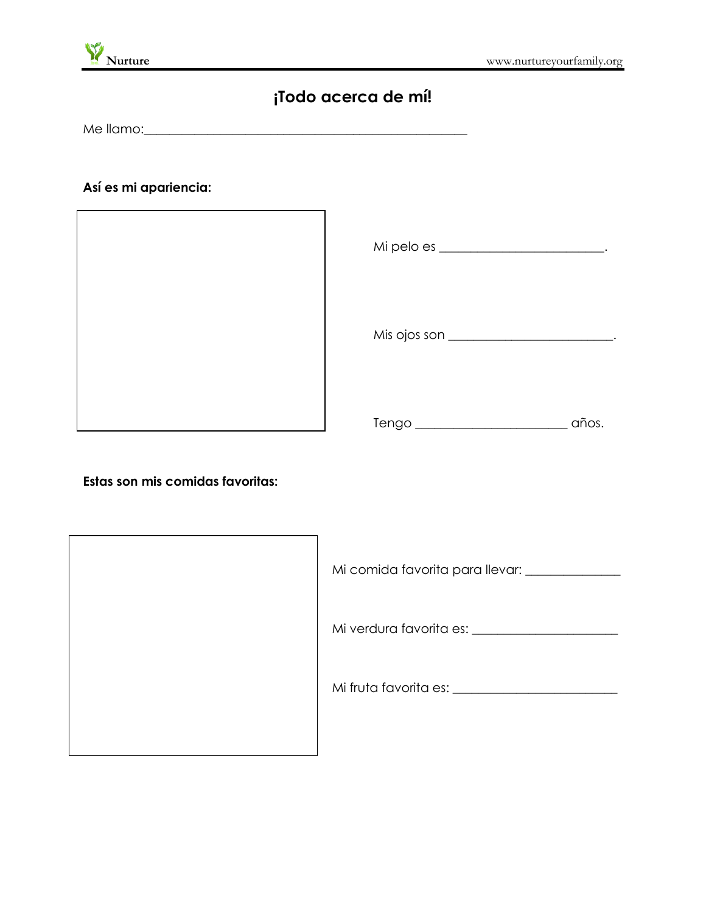

# **¡Todo acerca de mí!**

Me llamo: with the line of the line of the state of the state of the state of the state of the state of the state of the state of the state of the state of the state of the state of the state of the state of the state of t

## **Así es mi apariencia:**



| Mi pelo es ______________________ |      |
|-----------------------------------|------|
| Mis ojos son ____________________ |      |
| Tengo                             | ios. |

**Estas son mis comidas favoritas:**